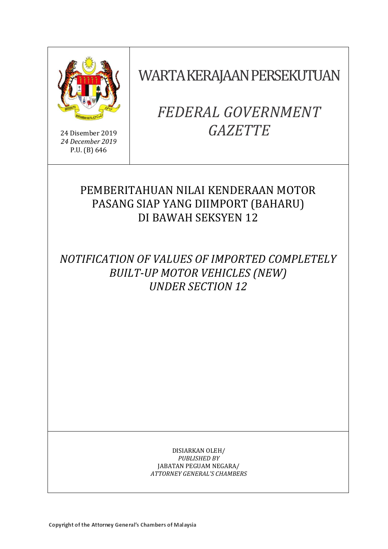

24 Disember 2019 *24 December 2019* P.U. (B) 646

# WARTA KERAJAAN PERSEKUTUAN

# *FEDERAL GOVERNMENT GAZETTE*

# PEMBERITAHUAN NILAI KENDERAAN MOTOR PASANG SIAP YANG DIIMPORT (BAHARU) DI BAWAH SEKSYEN 12

*NOTIFICATION OF VALUES OF IMPORTED COMPLETELY BUILT-UP MOTOR VEHICLES (NEW) UNDER SECTION 12* 

> DISIARKAN OLEH/ *PUBLISHED BY* JABATAN PEGUAM NEGARA/ *ATTORNEY GENERAL'S CHAMBERS*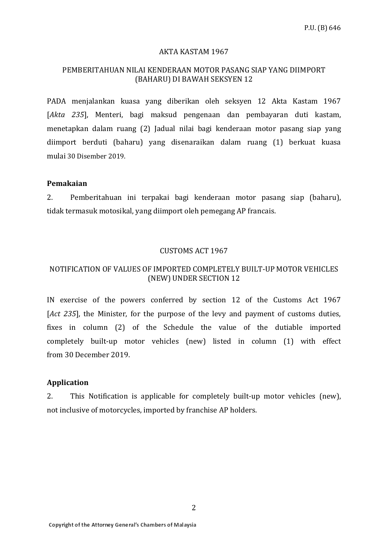#### AKTA KASTAM 1967

## PEMBERITAHUAN NILAI KENDERAAN MOTOR PASANG SIAP YANG DIIMPORT (BAHARU) DI BAWAH SEKSYEN 12

PADA menjalankan kuasa yang diberikan oleh seksyen 12 Akta Kastam 1967 [*Akta 235*], Menteri, bagi maksud pengenaan dan pembayaran duti kastam, menetapkan dalam ruang (2) Jadual nilai bagi kenderaan motor pasang siap yang diimport berduti (baharu) yang disenaraikan dalam ruang (1) berkuat kuasa mulai 30 Disember 2019.

#### **Pemakaian**

2. Pemberitahuan ini terpakai bagi kenderaan motor pasang siap (baharu), tidak termasuk motosikal, yang diimport oleh pemegang AP francais.

#### CUSTOMS ACT 1967

### NOTIFICATION OF VALUES OF IMPORTED COMPLETELY BUILT-UP MOTOR VEHICLES (NEW) UNDER SECTION 12

IN exercise of the powers conferred by section 12 of the Customs Act 1967 [*Act 235*], the Minister, for the purpose of the levy and payment of customs duties, fixes in column (2) of the Schedule the value of the dutiable imported completely built-up motor vehicles (new) listed in column (1) with effect from 30 December 2019.

## **Application**

2. This Notification is applicable for completely built-up motor vehicles (new), not inclusive of motorcycles, imported by franchise AP holders.